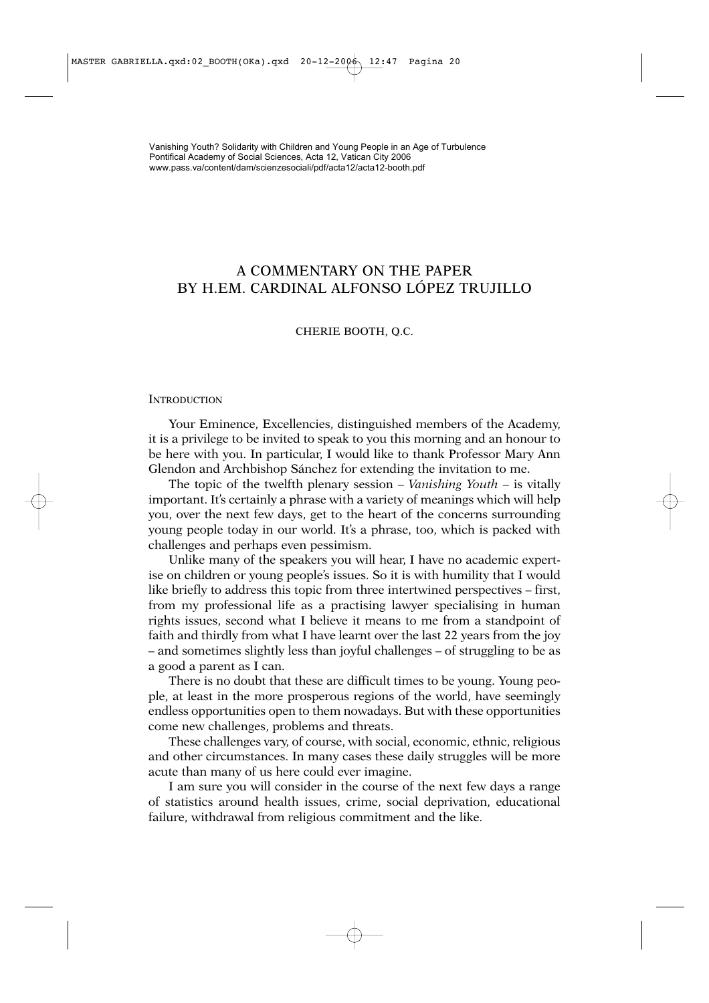## A COMMENTARY ON THE PAPER BY H.EM. CARDINAL ALFONSO LÓPEZ TRUJILLO

## CHERIE BOOTH, Q.C.

## **INTRODUCTION**

Your Eminence, Excellencies, distinguished members of the Academy, it is a privilege to be invited to speak to you this morning and an honour to be here with you. In particular, I would like to thank Professor Mary Ann Glendon and Archbishop Sánchez for extending the invitation to me.

The topic of the twelfth plenary session – *Vanishing Youth* – is vitally important. It's certainly a phrase with a variety of meanings which will help you, over the next few days, get to the heart of the concerns surrounding young people today in our world. It's a phrase, too, which is packed with challenges and perhaps even pessimism.

Unlike many of the speakers you will hear, I have no academic expertise on children or young people's issues. So it is with humility that I would like briefly to address this topic from three intertwined perspectives – first, from my professional life as a practising lawyer specialising in human rights issues, second what I believe it means to me from a standpoint of faith and thirdly from what I have learnt over the last 22 years from the joy – and sometimes slightly less than joyful challenges – of struggling to be as a good a parent as I can.

There is no doubt that these are difficult times to be young. Young people, at least in the more prosperous regions of the world, have seemingly endless opportunities open to them nowadays. But with these opportunities come new challenges, problems and threats.

These challenges vary, of course, with social, economic, ethnic, religious and other circumstances. In many cases these daily struggles will be more acute than many of us here could ever imagine.

I am sure you will consider in the course of the next few days a range of statistics around health issues, crime, social deprivation, educational failure, withdrawal from religious commitment and the like.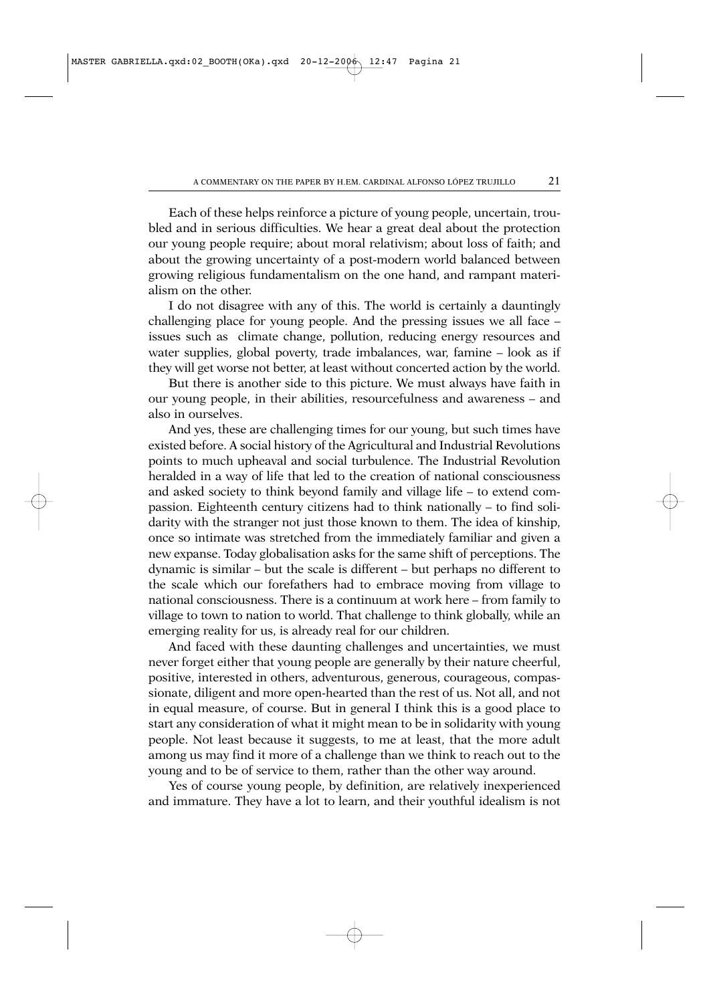Each of these helps reinforce a picture of young people, uncertain, troubled and in serious difficulties. We hear a great deal about the protection our young people require; about moral relativism; about loss of faith; and about the growing uncertainty of a post-modern world balanced between growing religious fundamentalism on the one hand, and rampant materialism on the other.

I do not disagree with any of this. The world is certainly a dauntingly challenging place for young people. And the pressing issues we all face – issues such as climate change, pollution, reducing energy resources and water supplies, global poverty, trade imbalances, war, famine – look as if they will get worse not better, at least without concerted action by the world.

But there is another side to this picture. We must always have faith in our young people, in their abilities, resourcefulness and awareness – and also in ourselves.

And yes, these are challenging times for our young, but such times have existed before. A social history of the Agricultural and Industrial Revolutions points to much upheaval and social turbulence. The Industrial Revolution heralded in a way of life that led to the creation of national consciousness and asked society to think beyond family and village life – to extend compassion. Eighteenth century citizens had to think nationally – to find solidarity with the stranger not just those known to them. The idea of kinship, once so intimate was stretched from the immediately familiar and given a new expanse. Today globalisation asks for the same shift of perceptions. The dynamic is similar – but the scale is different – but perhaps no different to the scale which our forefathers had to embrace moving from village to national consciousness. There is a continuum at work here – from family to village to town to nation to world. That challenge to think globally, while an emerging reality for us, is already real for our children.

And faced with these daunting challenges and uncertainties, we must never forget either that young people are generally by their nature cheerful, positive, interested in others, adventurous, generous, courageous, compassionate, diligent and more open-hearted than the rest of us. Not all, and not in equal measure, of course. But in general I think this is a good place to start any consideration of what it might mean to be in solidarity with young people. Not least because it suggests, to me at least, that the more adult among us may find it more of a challenge than we think to reach out to the young and to be of service to them, rather than the other way around.

Yes of course young people, by definition, are relatively inexperienced and immature. They have a lot to learn, and their youthful idealism is not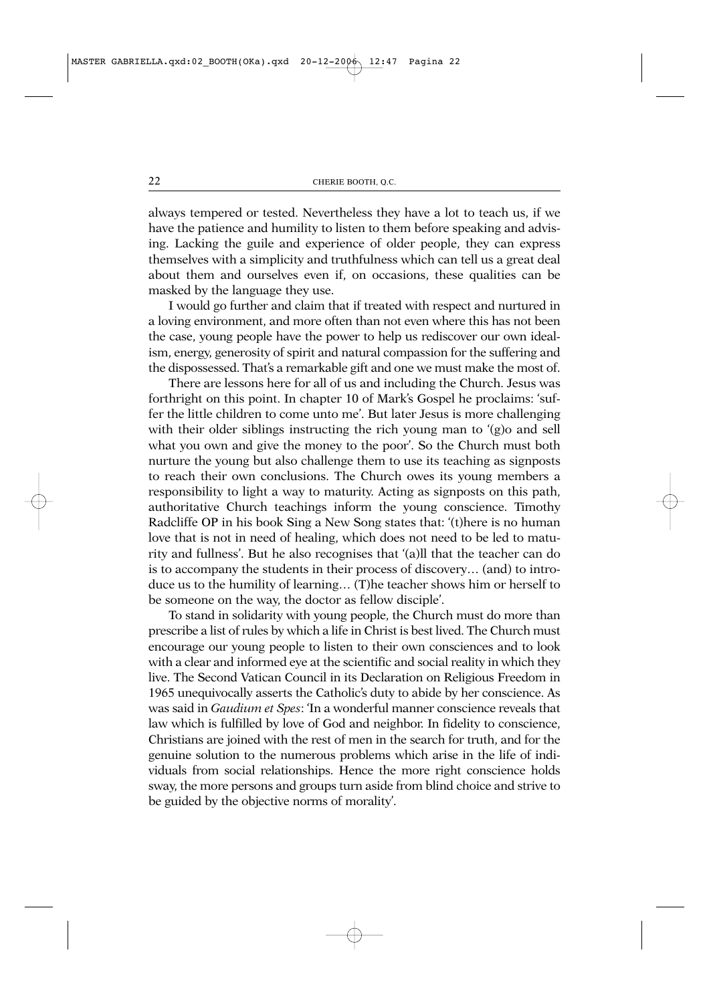always tempered or tested. Nevertheless they have a lot to teach us, if we have the patience and humility to listen to them before speaking and advising. Lacking the guile and experience of older people, they can express themselves with a simplicity and truthfulness which can tell us a great deal about them and ourselves even if, on occasions, these qualities can be masked by the language they use.

I would go further and claim that if treated with respect and nurtured in a loving environment, and more often than not even where this has not been the case, young people have the power to help us rediscover our own idealism, energy, generosity of spirit and natural compassion for the suffering and the dispossessed. That's a remarkable gift and one we must make the most of.

There are lessons here for all of us and including the Church. Jesus was forthright on this point. In chapter 10 of Mark's Gospel he proclaims: 'suffer the little children to come unto me'. But later Jesus is more challenging with their older siblings instructing the rich young man to '(g) and sell what you own and give the money to the poor'. So the Church must both nurture the young but also challenge them to use its teaching as signposts to reach their own conclusions. The Church owes its young members a responsibility to light a way to maturity. Acting as signposts on this path, authoritative Church teachings inform the young conscience. Timothy Radcliffe OP in his book Sing a New Song states that: '(t)here is no human love that is not in need of healing, which does not need to be led to maturity and fullness'. But he also recognises that '(a)ll that the teacher can do is to accompany the students in their process of discovery… (and) to introduce us to the humility of learning… (T)he teacher shows him or herself to be someone on the way, the doctor as fellow disciple'.

To stand in solidarity with young people, the Church must do more than prescribe a list of rules by which a life in Christ is best lived. The Church must encourage our young people to listen to their own consciences and to look with a clear and informed eye at the scientific and social reality in which they live. The Second Vatican Council in its Declaration on Religious Freedom in 1965 unequivocally asserts the Catholic's duty to abide by her conscience. As was said in *Gaudium et Spes*: 'In a wonderful manner conscience reveals that law which is fulfilled by love of God and neighbor. In fidelity to conscience, Christians are joined with the rest of men in the search for truth, and for the genuine solution to the numerous problems which arise in the life of individuals from social relationships. Hence the more right conscience holds sway, the more persons and groups turn aside from blind choice and strive to be guided by the objective norms of morality'.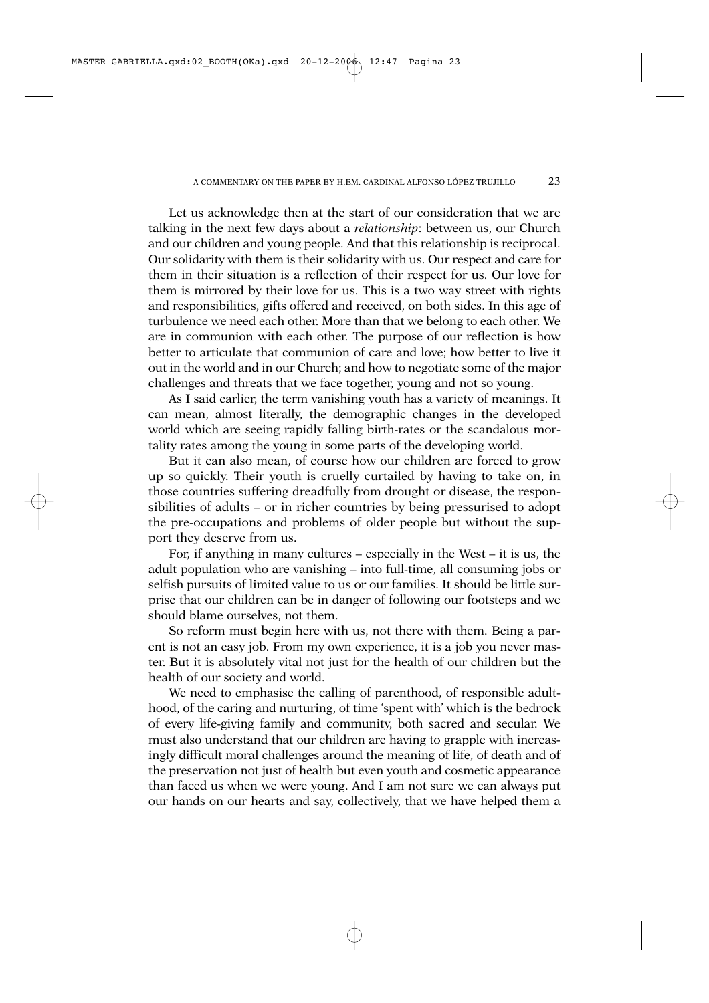Let us acknowledge then at the start of our consideration that we are talking in the next few days about a *relationship*: between us, our Church and our children and young people. And that this relationship is reciprocal. Our solidarity with them is their solidarity with us. Our respect and care for them in their situation is a reflection of their respect for us. Our love for them is mirrored by their love for us. This is a two way street with rights and responsibilities, gifts offered and received, on both sides. In this age of turbulence we need each other. More than that we belong to each other. We are in communion with each other. The purpose of our reflection is how better to articulate that communion of care and love; how better to live it out in the world and in our Church; and how to negotiate some of the major challenges and threats that we face together, young and not so young.

As I said earlier, the term vanishing youth has a variety of meanings. It can mean, almost literally, the demographic changes in the developed world which are seeing rapidly falling birth-rates or the scandalous mortality rates among the young in some parts of the developing world.

But it can also mean, of course how our children are forced to grow up so quickly. Their youth is cruelly curtailed by having to take on, in those countries suffering dreadfully from drought or disease, the responsibilities of adults – or in richer countries by being pressurised to adopt the pre-occupations and problems of older people but without the support they deserve from us.

For, if anything in many cultures – especially in the West – it is us, the adult population who are vanishing – into full-time, all consuming jobs or selfish pursuits of limited value to us or our families. It should be little surprise that our children can be in danger of following our footsteps and we should blame ourselves, not them.

So reform must begin here with us, not there with them. Being a parent is not an easy job. From my own experience, it is a job you never master. But it is absolutely vital not just for the health of our children but the health of our society and world.

We need to emphasise the calling of parenthood, of responsible adulthood, of the caring and nurturing, of time 'spent with' which is the bedrock of every life-giving family and community, both sacred and secular. We must also understand that our children are having to grapple with increasingly difficult moral challenges around the meaning of life, of death and of the preservation not just of health but even youth and cosmetic appearance than faced us when we were young. And I am not sure we can always put our hands on our hearts and say, collectively, that we have helped them a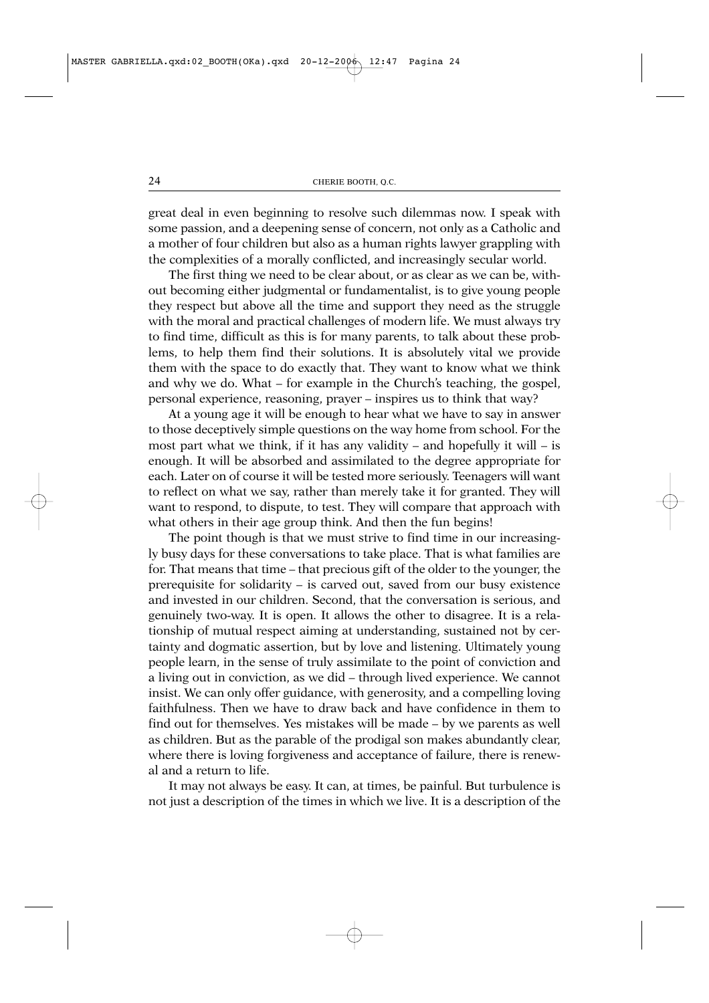great deal in even beginning to resolve such dilemmas now. I speak with some passion, and a deepening sense of concern, not only as a Catholic and a mother of four children but also as a human rights lawyer grappling with the complexities of a morally conflicted, and increasingly secular world.

The first thing we need to be clear about, or as clear as we can be, without becoming either judgmental or fundamentalist, is to give young people they respect but above all the time and support they need as the struggle with the moral and practical challenges of modern life. We must always try to find time, difficult as this is for many parents, to talk about these problems, to help them find their solutions. It is absolutely vital we provide them with the space to do exactly that. They want to know what we think and why we do. What – for example in the Church's teaching, the gospel, personal experience, reasoning, prayer – inspires us to think that way?

At a young age it will be enough to hear what we have to say in answer to those deceptively simple questions on the way home from school. For the most part what we think, if it has any validity – and hopefully it will – is enough. It will be absorbed and assimilated to the degree appropriate for each. Later on of course it will be tested more seriously. Teenagers will want to reflect on what we say, rather than merely take it for granted. They will want to respond, to dispute, to test. They will compare that approach with what others in their age group think. And then the fun begins!

The point though is that we must strive to find time in our increasingly busy days for these conversations to take place. That is what families are for. That means that time – that precious gift of the older to the younger, the prerequisite for solidarity – is carved out, saved from our busy existence and invested in our children. Second, that the conversation is serious, and genuinely two-way. It is open. It allows the other to disagree. It is a relationship of mutual respect aiming at understanding, sustained not by certainty and dogmatic assertion, but by love and listening. Ultimately young people learn, in the sense of truly assimilate to the point of conviction and a living out in conviction, as we did – through lived experience. We cannot insist. We can only offer guidance, with generosity, and a compelling loving faithfulness. Then we have to draw back and have confidence in them to find out for themselves. Yes mistakes will be made – by we parents as well as children. But as the parable of the prodigal son makes abundantly clear, where there is loving forgiveness and acceptance of failure, there is renewal and a return to life.

It may not always be easy. It can, at times, be painful. But turbulence is not just a description of the times in which we live. It is a description of the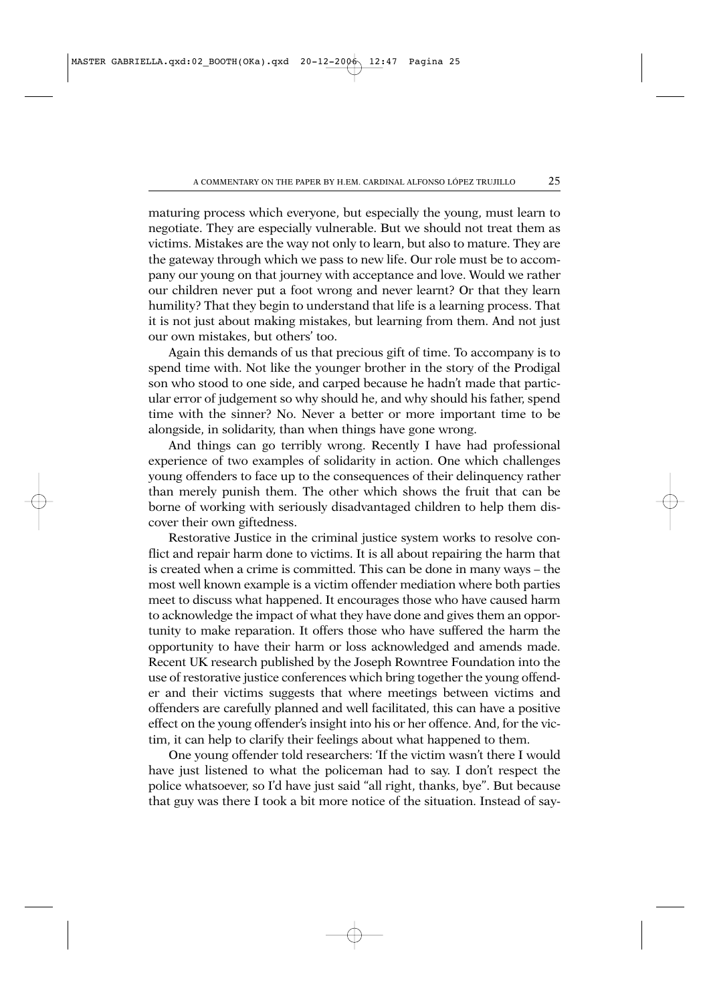maturing process which everyone, but especially the young, must learn to negotiate. They are especially vulnerable. But we should not treat them as victims. Mistakes are the way not only to learn, but also to mature. They are the gateway through which we pass to new life. Our role must be to accompany our young on that journey with acceptance and love. Would we rather our children never put a foot wrong and never learnt? Or that they learn humility? That they begin to understand that life is a learning process. That it is not just about making mistakes, but learning from them. And not just our own mistakes, but others' too.

Again this demands of us that precious gift of time. To accompany is to spend time with. Not like the younger brother in the story of the Prodigal son who stood to one side, and carped because he hadn't made that particular error of judgement so why should he, and why should his father, spend time with the sinner? No. Never a better or more important time to be alongside, in solidarity, than when things have gone wrong.

And things can go terribly wrong. Recently I have had professional experience of two examples of solidarity in action. One which challenges young offenders to face up to the consequences of their delinquency rather than merely punish them. The other which shows the fruit that can be borne of working with seriously disadvantaged children to help them discover their own giftedness.

Restorative Justice in the criminal justice system works to resolve conflict and repair harm done to victims. It is all about repairing the harm that is created when a crime is committed. This can be done in many ways – the most well known example is a victim offender mediation where both parties meet to discuss what happened. It encourages those who have caused harm to acknowledge the impact of what they have done and gives them an opportunity to make reparation. It offers those who have suffered the harm the opportunity to have their harm or loss acknowledged and amends made. Recent UK research published by the Joseph Rowntree Foundation into the use of restorative justice conferences which bring together the young offender and their victims suggests that where meetings between victims and offenders are carefully planned and well facilitated, this can have a positive effect on the young offender's insight into his or her offence. And, for the victim, it can help to clarify their feelings about what happened to them.

One young offender told researchers: 'If the victim wasn't there I would have just listened to what the policeman had to say. I don't respect the police whatsoever, so I'd have just said "all right, thanks, bye". But because that guy was there I took a bit more notice of the situation. Instead of say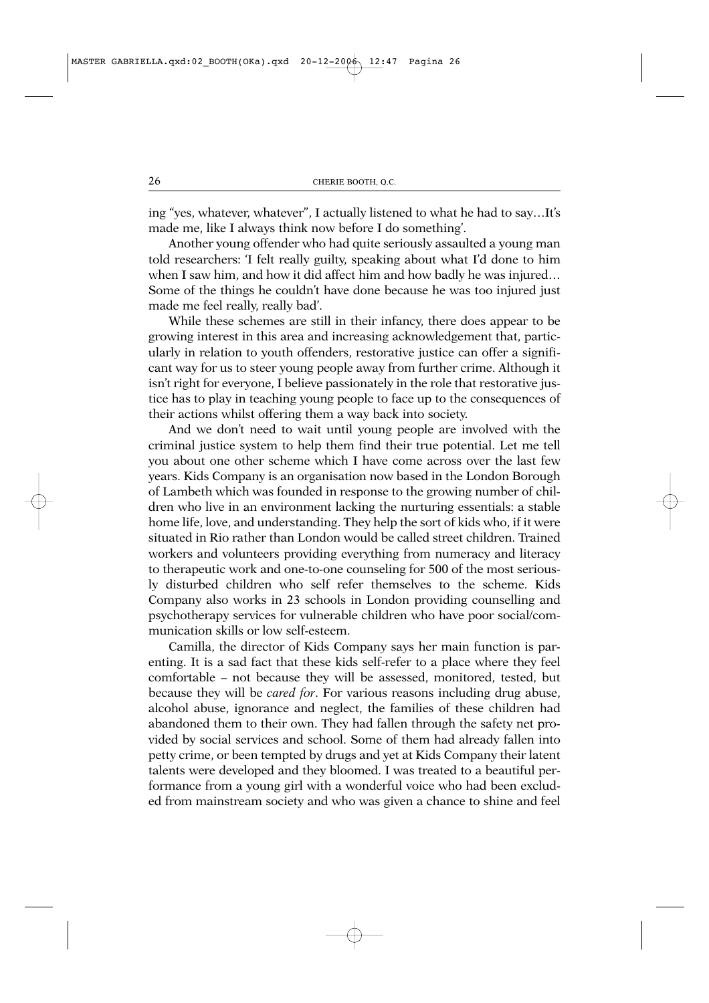ing "yes, whatever, whatever", I actually listened to what he had to say…It's made me, like I always think now before I do something'.

Another young offender who had quite seriously assaulted a young man told researchers: 'I felt really guilty, speaking about what I'd done to him when I saw him, and how it did affect him and how badly he was injured… Some of the things he couldn't have done because he was too injured just made me feel really, really bad'.

While these schemes are still in their infancy, there does appear to be growing interest in this area and increasing acknowledgement that, particularly in relation to youth offenders, restorative justice can offer a significant way for us to steer young people away from further crime. Although it isn't right for everyone, I believe passionately in the role that restorative justice has to play in teaching young people to face up to the consequences of their actions whilst offering them a way back into society.

And we don't need to wait until young people are involved with the criminal justice system to help them find their true potential. Let me tell you about one other scheme which I have come across over the last few years. Kids Company is an organisation now based in the London Borough of Lambeth which was founded in response to the growing number of children who live in an environment lacking the nurturing essentials: a stable home life, love, and understanding. They help the sort of kids who, if it were situated in Rio rather than London would be called street children. Trained workers and volunteers providing everything from numeracy and literacy to therapeutic work and one-to-one counseling for 500 of the most seriously disturbed children who self refer themselves to the scheme. Kids Company also works in 23 schools in London providing counselling and psychotherapy services for vulnerable children who have poor social/communication skills or low self-esteem.

Camilla, the director of Kids Company says her main function is parenting. It is a sad fact that these kids self-refer to a place where they feel comfortable – not because they will be assessed, monitored, tested, but because they will be *cared for*. For various reasons including drug abuse, alcohol abuse, ignorance and neglect, the families of these children had abandoned them to their own. They had fallen through the safety net provided by social services and school. Some of them had already fallen into petty crime, or been tempted by drugs and yet at Kids Company their latent talents were developed and they bloomed. I was treated to a beautiful performance from a young girl with a wonderful voice who had been excluded from mainstream society and who was given a chance to shine and feel